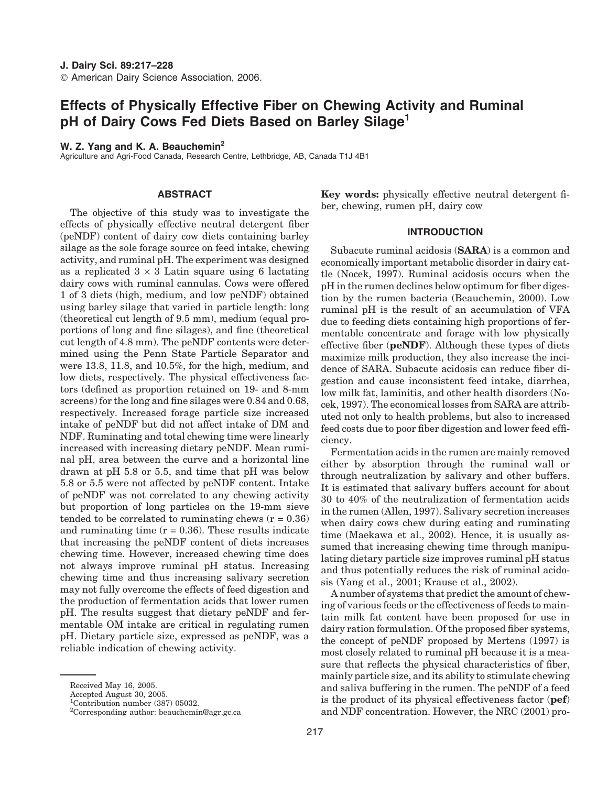# **Effects of Physically Effective Fiber on Chewing Activity and Ruminal pH of Dairy Cows Fed Diets Based on Barley Silage1**

# **W. Z. Yang and K. A. Beauchemin<sup>2</sup>**

Agriculture and Agri-Food Canada, Research Centre, Lethbridge, AB, Canada T1J 4B1

# **ABSTRACT**

The objective of this study was to investigate the effects of physically effective neutral detergent fiber (peNDF) content of dairy cow diets containing barley silage as the sole forage source on feed intake, chewing activity, and ruminal pH. The experiment was designed as a replicated  $3 \times 3$  Latin square using 6 lactating dairy cows with ruminal cannulas. Cows were offered 1 of 3 diets (high, medium, and low peNDF) obtained using barley silage that varied in particle length: long (theoretical cut length of 9.5 mm), medium (equal proportions of long and fine silages), and fine (theoretical cut length of 4.8 mm). The peNDF contents were determined using the Penn State Particle Separator and were 13.8, 11.8, and 10.5%, for the high, medium, and low diets, respectively. The physical effectiveness factors (defined as proportion retained on 19- and 8-mm screens) for the long and fine silages were 0.84 and 0.68, respectively. Increased forage particle size increased intake of peNDF but did not affect intake of DM and NDF. Ruminating and total chewing time were linearly increased with increasing dietary peNDF. Mean ruminal pH, area between the curve and a horizontal line drawn at pH 5.8 or 5.5, and time that pH was below 5.8 or 5.5 were not affected by peNDF content. Intake of peNDF was not correlated to any chewing activity but proportion of long particles on the 19-mm sieve tended to be correlated to ruminating chews  $(r = 0.36)$ and ruminating time  $(r = 0.36)$ . These results indicate that increasing the peNDF content of diets increases chewing time. However, increased chewing time does not always improve ruminal pH status. Increasing chewing time and thus increasing salivary secretion may not fully overcome the effects of feed digestion and the production of fermentation acids that lower rumen pH. The results suggest that dietary peNDF and fermentable OM intake are critical in regulating rumen pH. Dietary particle size, expressed as peNDF, was a reliable indication of chewing activity.

217

**Key words:** physically effective neutral detergent fiber, chewing, rumen pH, dairy cow

# **INTRODUCTION**

Subacute ruminal acidosis (**SARA**) is a common and economically important metabolic disorder in dairy cattle (Nocek, 1997). Ruminal acidosis occurs when the pH in the rumen declines below optimum for fiber digestion by the rumen bacteria (Beauchemin, 2000). Low ruminal pH is the result of an accumulation of VFA due to feeding diets containing high proportions of fermentable concentrate and forage with low physically effective fiber (**peNDF**). Although these types of diets maximize milk production, they also increase the incidence of SARA. Subacute acidosis can reduce fiber digestion and cause inconsistent feed intake, diarrhea, low milk fat, laminitis, and other health disorders (Nocek, 1997). The economical losses from SARA are attributed not only to health problems, but also to increased feed costs due to poor fiber digestion and lower feed efficiency.

Fermentation acids in the rumen are mainly removed either by absorption through the ruminal wall or through neutralization by salivary and other buffers. It is estimated that salivary buffers account for about 30 to 40% of the neutralization of fermentation acids in the rumen (Allen, 1997). Salivary secretion increases when dairy cows chew during eating and ruminating time (Maekawa et al., 2002). Hence, it is usually assumed that increasing chewing time through manipulating dietary particle size improves ruminal pH status and thus potentially reduces the risk of ruminal acidosis (Yang et al., 2001; Krause et al., 2002).

A number of systems that predict the amount of chewing of various feeds or the effectiveness of feeds to maintain milk fat content have been proposed for use in dairy ration formulation. Of the proposed fiber systems, the concept of peNDF proposed by Mertens (1997) is most closely related to ruminal pH because it is a measure that reflects the physical characteristics of fiber, mainly particle size, and its ability to stimulate chewing and saliva buffering in the rumen. The peNDF of a feed is the product of its physical effectiveness factor (**pef**) and NDF concentration. However, the NRC (2001) pro-

Received May 16, 2005.

Accepted August 30, 2005.

<sup>1</sup> Contribution number (387) 05032.

<sup>&</sup>lt;sup>2</sup>Corresponding author: beauchemin@agr.gc.ca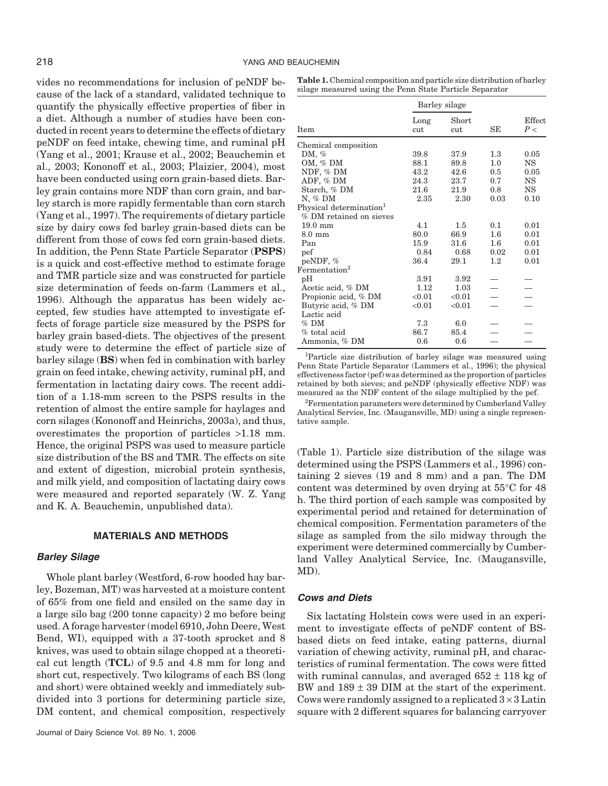vides no recommendations for inclusion of peNDF because of the lack of a standard, validated technique to quantify the physically effective properties of fiber in a diet. Although a number of studies have been conducted in recent years to determine the effects of dietary peNDF on feed intake, chewing time, and ruminal pH (Yang et al., 2001; Krause et al., 2002; Beauchemin et al., 2003; Kononoff et al., 2003; Plaizier, 2004), most have been conducted using corn grain-based diets. Barley grain contains more NDF than corn grain, and barley starch is more rapidly fermentable than corn starch (Yang et al., 1997). The requirements of dietary particle size by dairy cows fed barley grain-based diets can be different from those of cows fed corn grain-based diets. In addition, the Penn State Particle Separator (**PSPS**) is a quick and cost-effective method to estimate forage and TMR particle size and was constructed for particle size determination of feeds on-farm (Lammers et al., 1996). Although the apparatus has been widely accepted, few studies have attempted to investigate effects of forage particle size measured by the PSPS for barley grain based-diets. The objectives of the present study were to determine the effect of particle size of barley silage (**BS**) when fed in combination with barley grain on feed intake, chewing activity, ruminal pH, and fermentation in lactating dairy cows. The recent addition of a 1.18-mm screen to the PSPS results in the retention of almost the entire sample for haylages and corn silages (Kononoff and Heinrichs, 2003a), and thus, overestimates the proportion of particles >1.18 mm. Hence, the original PSPS was used to measure particle size distribution of the BS and TMR. The effects on site and extent of digestion, microbial protein synthesis, and milk yield, and composition of lactating dairy cows were measured and reported separately (W. Z. Yang and K. A. Beauchemin, unpublished data).

## **MATERIALS AND METHODS**

# *Barley Silage*

Whole plant barley (Westford, 6-row hooded hay barley, Bozeman, MT) was harvested at a moisture content of 65% from one field and ensiled on the same day in a large silo bag (200 tonne capacity) 2 mo before being used. A forage harvester (model 6910, John Deere, West Bend, WI), equipped with a 37-tooth sprocket and 8 knives, was used to obtain silage chopped at a theoretical cut length (**TCL**) of 9.5 and 4.8 mm for long and short cut, respectively. Two kilograms of each BS (long and short) were obtained weekly and immediately subdivided into 3 portions for determining particle size, DM content, and chemical composition, respectively **Table 1.** Chemical composition and particle size distribution of barley silage measured using the Penn State Particle Separator

|                                     |             | Barley silage |         |              |
|-------------------------------------|-------------|---------------|---------|--------------|
| <b>Item</b>                         | Long<br>cut | Short<br>cut  | SE      | Effect<br>P< |
| Chemical composition                |             |               |         |              |
| DM, $%$                             | 39.8        | 37.9          | $1.3\,$ | 0.05         |
| OM, % DM                            | 88.1        | 89.8          | 1.0     | NS.          |
| NDF, % DM                           | 43.2        | 42.6          | 0.5     | 0.05         |
| ADF, % DM                           | 24.3        | 23.7          | 0.7     | <b>NS</b>    |
| Starch, % DM                        | $21.6\,$    | 21.9          | 0.8     | NS           |
| $N, \%$ DM                          | 2.35        | 2.30          | 0.03    | 0.10         |
| Physical determination <sup>1</sup> |             |               |         |              |
| % DM retained on sieves             |             |               |         |              |
| $19.0 \text{ mm}$                   | 4.1         | 1.5           | 0.1     | 0.01         |
| $8.0 \text{ mm}$                    | 80.0        | 66.9          | $1.6\,$ | 0.01         |
| Pan                                 | 15.9        | 31.6          | $1.6\,$ | 0.01         |
| pef                                 | 0.84        | 0.68          | 0.02    | 0.01         |
| peNDF, %                            | 36.4        | 29.1          | $1.2\,$ | 0.01         |
| Fermentation <sup>2</sup>           |             |               |         |              |
| pН                                  | 3.91        | 3.92          |         |              |
| Acetic acid, % DM                   | 1.12        | 1.03          |         |              |
| Propionic acid, % DM                | < 0.01      | < 0.01        |         |              |
| Butyric acid, % DM                  | < 0.01      | < 0.01        |         |              |
| Lactic acid                         |             |               |         |              |
| $%$ DM                              | 7.3         | 6.0           |         |              |
| % total acid                        | 86.7        | 85.4          |         |              |
| Ammonia, % DM                       | 0.6         | 0.6           |         |              |

1 Particle size distribution of barley silage was measured using Penn State Particle Separator (Lammers et al., 1996); the physical effectiveness factor (pef) was determined as the proportion of particles retained by both sieves; and peNDF (physically effective NDF) was measured as the NDF content of the silage multiplied by the pef.

 ${}^{2}$ Fermentation parameters were determined by Cumberland Valley Analytical Service, Inc. (Maugansville, MD) using a single representative sample.

(Table 1). Particle size distribution of the silage was determined using the PSPS (Lammers et al., 1996) containing 2 sieves (19 and 8 mm) and a pan. The DM content was determined by oven drying at 55°C for 48 h. The third portion of each sample was composited by experimental period and retained for determination of chemical composition. Fermentation parameters of the silage as sampled from the silo midway through the experiment were determined commercially by Cumberland Valley Analytical Service, Inc. (Maugansville, MD).

#### *Cows and Diets*

Six lactating Holstein cows were used in an experiment to investigate effects of peNDF content of BSbased diets on feed intake, eating patterns, diurnal variation of chewing activity, ruminal pH, and characteristics of ruminal fermentation. The cows were fitted with ruminal cannulas, and averaged  $652 \pm 118$  kg of BW and  $189 \pm 39$  DIM at the start of the experiment. Cows were randomly assigned to a replicated  $3 \times 3$  Latin square with 2 different squares for balancing carryover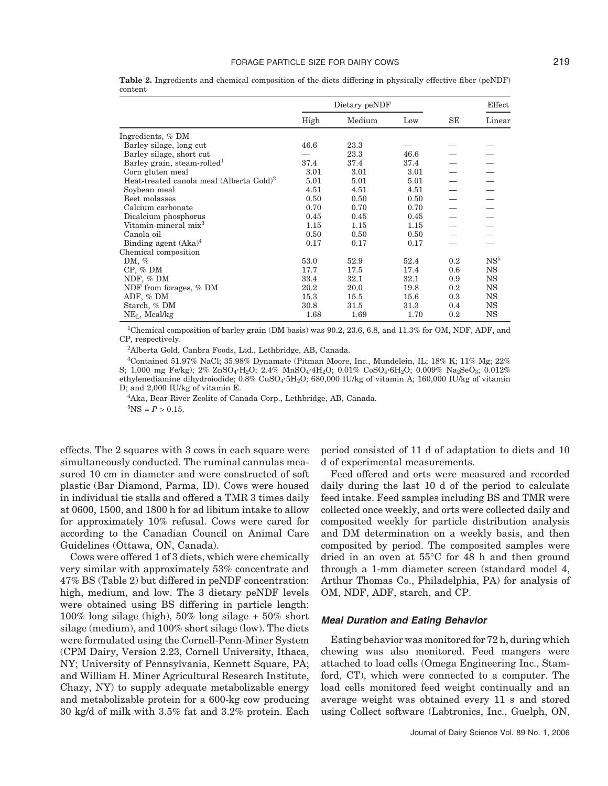|                                                      | Dietary peNDF |        | Effect |         |                 |
|------------------------------------------------------|---------------|--------|--------|---------|-----------------|
|                                                      | High          | Medium | Low    | SE      | Linear          |
| Ingredients, % DM                                    |               |        |        |         |                 |
| Barley silage, long cut                              | 46.6          | 23.3   |        |         |                 |
| Barley silage, short cut                             |               | 23.3   | 46.6   |         |                 |
| Barley grain, steam-rolled <sup>1</sup>              | 37.4          | 37.4   | 37.4   |         |                 |
| Corn gluten meal                                     | 3.01          | 3.01   | 3.01   |         |                 |
| Heat-treated canola meal (Alberta Gold) <sup>2</sup> | 5.01          | 5.01   | 5.01   |         |                 |
| Soybean meal                                         | 4.51          | 4.51   | 4.51   |         |                 |
| Beet molasses                                        | 0.50          | 0.50   | 0.50   |         |                 |
| Calcium carbonate                                    | 0.70          | 0.70   | 0.70   |         |                 |
| Dicalcium phosphorus                                 | 0.45          | 0.45   | 0.45   |         |                 |
| Vitamin-mineral mix <sup>3</sup>                     | 1.15          | 1.15   | 1.15   |         |                 |
| Canola oil                                           | 0.50          | 0.50   | 0.50   |         |                 |
| Binding agent $(Aka)^4$                              | 0.17          | 0.17   | 0.17   |         |                 |
| Chemical composition                                 |               |        |        |         |                 |
| DM, $%$                                              | 53.0          | 52.9   | 52.4   | 0.2     | NS <sup>5</sup> |
| $CP, \%$ DM                                          | 17.7          | 17.5   | 17.4   | 0.6     | <b>NS</b>       |
| NDF, % DM                                            | 33.4          | 32.1   | 32.1   | 0.9     | <b>NS</b>       |
| NDF from forages, % DM                               | 20.2          | 20.0   | 19.8   | $0.2\,$ | <b>NS</b>       |
| ADF, % DM                                            | 15.3          | 15.5   | 15.6   | 0.3     | <b>NS</b>       |
| Starch, % DM                                         | 30.8          | 31.5   | 31.3   | $0.4\,$ | <b>NS</b>       |
| $NEL$ , Mcal/kg                                      | 1.68          | 1.69   | 1.70   | $0.2\,$ | NS              |

**Table 2.** Ingredients and chemical composition of the diets differing in physically effective fiber (peNDF) content

<sup>1</sup>Chemical composition of barley grain (DM basis) was 90.2, 23.6, 6.8, and 11.3% for OM, NDF, ADF, and CP, respectively.

2 Alberta Gold, Canbra Foods, Ltd., Lethbridge, AB, Canada.

3 Contained 51.97% NaCl; 35.98% Dynamate (Pitman Moore, Inc., Mundelein, IL; 18% K; 11% Mg; 22% S; 1,000 mg Fe/kg); 2% ZnSO<sub>4</sub>·H<sub>2</sub>O; 2.4% MnSO<sub>4</sub>·4H<sub>2</sub>O; 0.01% CoSO<sub>4</sub>·6H<sub>2</sub>O; 0.009% Na<sub>2</sub>SeO<sub>3</sub>; 0.012% ethylenediamine dihydroiodide;  $0.8\%$  CuSO<sub>4</sub>·5H<sub>2</sub>O; 680,000 IU/kg of vitamin A; 160,000 IU/kg of vitamin D; and 2,000 IU/kg of vitamin E.

4 Aka, Bear River Zeolite of Canada Corp., Lethbridge, AB, Canada.  ${}^{5}\text{NS} = P > 0.15.$ 

effects. The 2 squares with 3 cows in each square were simultaneously conducted. The ruminal cannulas measured 10 cm in diameter and were constructed of soft plastic (Bar Diamond, Parma, ID). Cows were housed in individual tie stalls and offered a TMR 3 times daily at 0600, 1500, and 1800 h for ad libitum intake to allow for approximately 10% refusal. Cows were cared for according to the Canadian Council on Animal Care Guidelines (Ottawa, ON, Canada).

Cows were offered 1 of 3 diets, which were chemically very similar with approximately 53% concentrate and 47% BS (Table 2) but differed in peNDF concentration: high, medium, and low. The 3 dietary peNDF levels were obtained using BS differing in particle length: 100% long silage (high), 50% long silage + 50% short silage (medium), and 100% short silage (low). The diets were formulated using the Cornell-Penn-Miner System (CPM Dairy, Version 2.23, Cornell University, Ithaca, NY; University of Pennsylvania, Kennett Square, PA; and William H. Miner Agricultural Research Institute, Chazy, NY) to supply adequate metabolizable energy and metabolizable protein for a 600-kg cow producing 30 kg/d of milk with 3.5% fat and 3.2% protein. Each period consisted of 11 d of adaptation to diets and 10 d of experimental measurements.

Feed offered and orts were measured and recorded daily during the last 10 d of the period to calculate feed intake. Feed samples including BS and TMR were collected once weekly, and orts were collected daily and composited weekly for particle distribution analysis and DM determination on a weekly basis, and then composited by period. The composited samples were dried in an oven at 55°C for 48 h and then ground through a 1-mm diameter screen (standard model 4, Arthur Thomas Co., Philadelphia, PA) for analysis of OM, NDF, ADF, starch, and CP.

## *Meal Duration and Eating Behavior*

Eating behavior was monitored for 72 h, during which chewing was also monitored. Feed mangers were attached to load cells (Omega Engineering Inc., Stamford, CT), which were connected to a computer. The load cells monitored feed weight continually and an average weight was obtained every 11 s and stored using Collect software (Labtronics, Inc., Guelph, ON,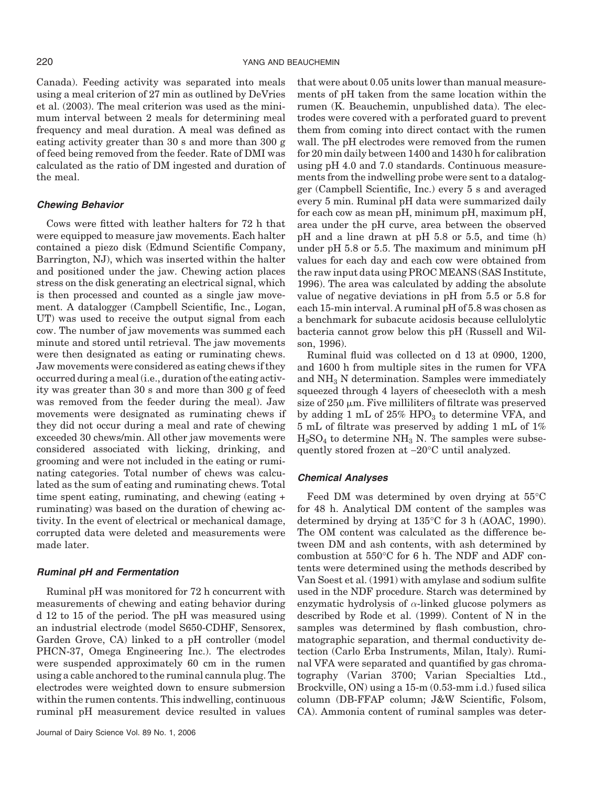Canada). Feeding activity was separated into meals using a meal criterion of 27 min as outlined by DeVries et al. (2003). The meal criterion was used as the minimum interval between 2 meals for determining meal frequency and meal duration. A meal was defined as eating activity greater than 30 s and more than 300 g of feed being removed from the feeder. Rate of DMI was calculated as the ratio of DM ingested and duration of the meal.

## *Chewing Behavior*

Cows were fitted with leather halters for 72 h that were equipped to measure jaw movements. Each halter contained a piezo disk (Edmund Scientific Company, Barrington, NJ), which was inserted within the halter and positioned under the jaw. Chewing action places stress on the disk generating an electrical signal, which is then processed and counted as a single jaw movement. A datalogger (Campbell Scientific, Inc., Logan, UT) was used to receive the output signal from each cow. The number of jaw movements was summed each minute and stored until retrieval. The jaw movements were then designated as eating or ruminating chews. Jaw movements were considered as eating chews if they occurred during a meal (i.e., duration of the eating activity was greater than 30 s and more than 300 g of feed was removed from the feeder during the meal). Jaw movements were designated as ruminating chews if they did not occur during a meal and rate of chewing exceeded 30 chews/min. All other jaw movements were considered associated with licking, drinking, and grooming and were not included in the eating or ruminating categories. Total number of chews was calculated as the sum of eating and ruminating chews. Total time spent eating, ruminating, and chewing (eating + ruminating) was based on the duration of chewing activity. In the event of electrical or mechanical damage, corrupted data were deleted and measurements were made later.

## *Ruminal pH and Fermentation*

Ruminal pH was monitored for 72 h concurrent with measurements of chewing and eating behavior during d 12 to 15 of the period. The pH was measured using an industrial electrode (model S650-CDHF, Sensorex, Garden Grove, CA) linked to a pH controller (model PHCN-37, Omega Engineering Inc.). The electrodes were suspended approximately 60 cm in the rumen using a cable anchored to the ruminal cannula plug. The electrodes were weighted down to ensure submersion within the rumen contents. This indwelling, continuous ruminal pH measurement device resulted in values that were about 0.05 units lower than manual measurements of pH taken from the same location within the rumen (K. Beauchemin, unpublished data). The electrodes were covered with a perforated guard to prevent them from coming into direct contact with the rumen wall. The pH electrodes were removed from the rumen for 20 min daily between 1400 and 1430 h for calibration using pH 4.0 and 7.0 standards. Continuous measurements from the indwelling probe were sent to a datalogger (Campbell Scientific, Inc.) every 5 s and averaged every 5 min. Ruminal pH data were summarized daily for each cow as mean pH, minimum pH, maximum pH, area under the pH curve, area between the observed pH and a line drawn at pH 5.8 or 5.5, and time (h) under pH 5.8 or 5.5. The maximum and minimum pH values for each day and each cow were obtained from the raw input data using PROC MEANS (SAS Institute, 1996). The area was calculated by adding the absolute value of negative deviations in pH from 5.5 or 5.8 for each 15-min interval. A ruminal pH of 5.8 was chosen as a benchmark for subacute acidosis because cellulolytic bacteria cannot grow below this pH (Russell and Wilson, 1996).

Ruminal fluid was collected on d 13 at 0900, 1200, and 1600 h from multiple sites in the rumen for VFA and  $NH<sub>3</sub>$  N determination. Samples were immediately squeezed through 4 layers of cheesecloth with a mesh size of  $250 \mu m$ . Five milliliters of filtrate was preserved by adding 1 mL of  $25\%$  HPO<sub>3</sub> to determine VFA, and 5 mL of filtrate was preserved by adding 1 mL of 1%  $H<sub>2</sub>SO<sub>4</sub>$  to determine NH<sub>3</sub> N. The samples were subsequently stored frozen at  $-20$ °C until analyzed.

# *Chemical Analyses*

Feed DM was determined by oven drying at 55°C for 48 h. Analytical DM content of the samples was determined by drying at 135°C for 3 h (AOAC, 1990). The OM content was calculated as the difference between DM and ash contents, with ash determined by combustion at 550°C for 6 h. The NDF and ADF contents were determined using the methods described by Van Soest et al. (1991) with amylase and sodium sulfite used in the NDF procedure. Starch was determined by enzymatic hydrolysis of  $\alpha$ -linked glucose polymers as described by Rode et al. (1999). Content of N in the samples was determined by flash combustion, chromatographic separation, and thermal conductivity detection (Carlo Erba Instruments, Milan, Italy). Ruminal VFA were separated and quantified by gas chromatography (Varian 3700; Varian Specialties Ltd., Brockville, ON) using a 15-m (0.53-mm i.d.) fused silica column (DB-FFAP column; J&W Scientific, Folsom, CA). Ammonia content of ruminal samples was deter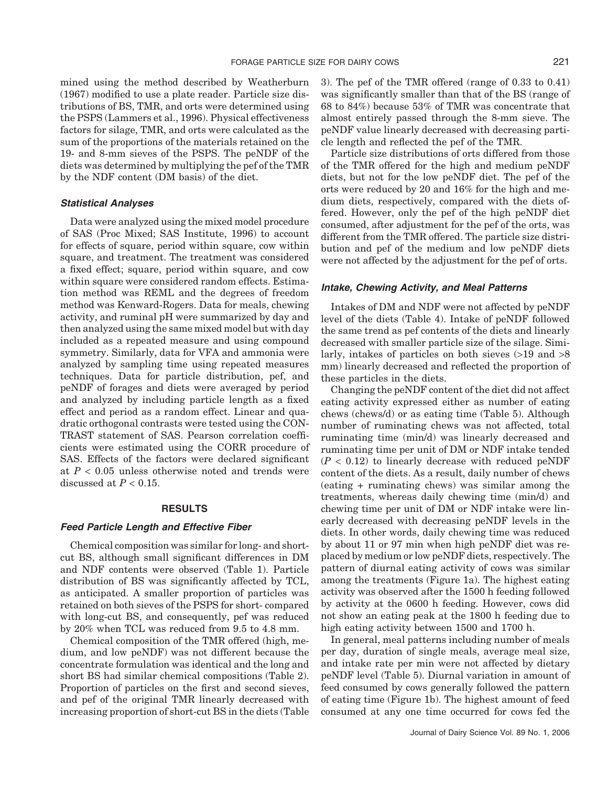mined using the method described by Weatherburn (1967) modified to use a plate reader. Particle size distributions of BS, TMR, and orts were determined using the PSPS (Lammers et al., 1996). Physical effectiveness factors for silage, TMR, and orts were calculated as the sum of the proportions of the materials retained on the 19- and 8-mm sieves of the PSPS. The peNDF of the diets was determined by multiplying the pef of the TMR by the NDF content (DM basis) of the diet.

## *Statistical Analyses*

Data were analyzed using the mixed model procedure of SAS (Proc Mixed; SAS Institute, 1996) to account for effects of square, period within square, cow within square, and treatment. The treatment was considered a fixed effect; square, period within square, and cow within square were considered random effects. Estimation method was REML and the degrees of freedom method was Kenward-Rogers. Data for meals, chewing activity, and ruminal pH were summarized by day and then analyzed using the same mixed model but with day included as a repeated measure and using compound symmetry. Similarly, data for VFA and ammonia were analyzed by sampling time using repeated measures techniques. Data for particle distribution, pef, and peNDF of forages and diets were averaged by period and analyzed by including particle length as a fixed effect and period as a random effect. Linear and quadratic orthogonal contrasts were tested using the CON-TRAST statement of SAS. Pearson correlation coefficients were estimated using the CORR procedure of SAS. Effects of the factors were declared significant at *P* < 0.05 unless otherwise noted and trends were discussed at  $P < 0.15$ .

# **RESULTS**

#### *Feed Particle Length and Effective Fiber*

Chemical composition was similar for long- and shortcut BS, although small significant differences in DM and NDF contents were observed (Table 1). Particle distribution of BS was significantly affected by TCL, as anticipated. A smaller proportion of particles was retained on both sieves of the PSPS for short- compared with long-cut BS, and consequently, pef was reduced by 20% when TCL was reduced from 9.5 to 4.8 mm.

Chemical composition of the TMR offered (high, medium, and low peNDF) was not different because the concentrate formulation was identical and the long and short BS had similar chemical compositions (Table 2). Proportion of particles on the first and second sieves, and pef of the original TMR linearly decreased with increasing proportion of short-cut BS in the diets (Table 3). The pef of the TMR offered (range of 0.33 to 0.41) was significantly smaller than that of the BS (range of 68 to 84%) because 53% of TMR was concentrate that almost entirely passed through the 8-mm sieve. The peNDF value linearly decreased with decreasing particle length and reflected the pef of the TMR.

Particle size distributions of orts differed from those of the TMR offered for the high and medium peNDF diets, but not for the low peNDF diet. The pef of the orts were reduced by 20 and 16% for the high and medium diets, respectively, compared with the diets offered. However, only the pef of the high peNDF diet consumed, after adjustment for the pef of the orts, was different from the TMR offered. The particle size distribution and pef of the medium and low peNDF diets were not affected by the adjustment for the pef of orts.

#### *Intake, Chewing Activity, and Meal Patterns*

Intakes of DM and NDF were not affected by peNDF level of the diets (Table 4). Intake of peNDF followed the same trend as pef contents of the diets and linearly decreased with smaller particle size of the silage. Similarly, intakes of particles on both sieves (>19 and >8 mm) linearly decreased and reflected the proportion of these particles in the diets.

Changing the peNDF content of the diet did not affect eating activity expressed either as number of eating chews (chews/d) or as eating time (Table 5). Although number of ruminating chews was not affected, total ruminating time (min/d) was linearly decreased and ruminating time per unit of DM or NDF intake tended  $(P < 0.12)$  to linearly decrease with reduced peNDF content of the diets. As a result, daily number of chews (eating + ruminating chews) was similar among the treatments, whereas daily chewing time (min/d) and chewing time per unit of DM or NDF intake were linearly decreased with decreasing peNDF levels in the diets. In other words, daily chewing time was reduced by about 11 or 97 min when high peNDF diet was replaced by medium or low peNDF diets, respectively. The pattern of diurnal eating activity of cows was similar among the treatments (Figure 1a). The highest eating activity was observed after the 1500 h feeding followed by activity at the 0600 h feeding. However, cows did not show an eating peak at the 1800 h feeding due to high eating activity between 1500 and 1700 h.

In general, meal patterns including number of meals per day, duration of single meals, average meal size, and intake rate per min were not affected by dietary peNDF level (Table 5). Diurnal variation in amount of feed consumed by cows generally followed the pattern of eating time (Figure 1b). The highest amount of feed consumed at any one time occurred for cows fed the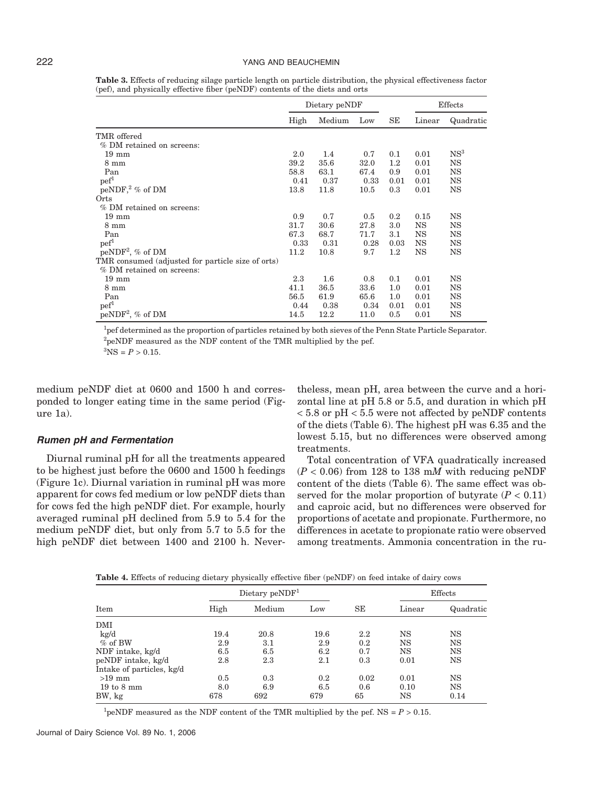|                                                   | Dietary peNDF |         |      |         | Effects   |                 |
|---------------------------------------------------|---------------|---------|------|---------|-----------|-----------------|
|                                                   | High          | Medium  | Low  | SE      | Linear    | Quadratic       |
| TMR offered                                       |               |         |      |         |           |                 |
| % DM retained on screens:                         |               |         |      |         |           |                 |
| $19 \text{ mm}$                                   | 2.0           | 1.4     | 0.7  | 0.1     | 0.01      | NS <sup>3</sup> |
| $8 \text{ mm}$                                    | 39.2          | 35.6    | 32.0 | $1.2\,$ | 0.01      | NS              |
| Pan                                               | 58.8          | 63.1    | 67.4 | 0.9     | 0.01      | NS              |
| $\mathrm{per}^1$                                  | 0.41          | 0.37    | 0.33 | 0.01    | 0.01      | NS              |
| peNDF, <sup>2</sup> % of DM                       | 13.8          | 11.8    | 10.5 | 0.3     | 0.01      | NS              |
| Orts                                              |               |         |      |         |           |                 |
| % DM retained on screens:                         |               |         |      |         |           |                 |
| $19 \text{ mm}$                                   | 0.9           | 0.7     | 0.5  | 0.2     | 0.15      | NS              |
| $8 \text{ mm}$                                    | 31.7          | 30.6    | 27.8 | 3.0     | NS        | NS              |
| Pan                                               | 67.3          | 68.7    | 71.7 | $3.1\,$ | <b>NS</b> | NS              |
| $\mathrm{p}\mathrm{e}\mathrm{f}^1$                | 0.33          | 0.31    | 0.28 | 0.03    | NS        | NS              |
| peNDF <sup>2</sup> , % of DM                      | 11.2          | 10.8    | 9.7  | 1.2     | NS        | NS              |
| TMR consumed (adjusted for particle size of orts) |               |         |      |         |           |                 |
| % DM retained on screens:                         |               |         |      |         |           |                 |
| $19 \text{ mm}$                                   | 2.3           | $1.6\,$ | 0.8  | 0.1     | 0.01      | NS              |
| $8 \text{ mm}$                                    | 41.1          | 36.5    | 33.6 | 1.0     | 0.01      | NS              |
| Pan                                               | 56.5          | 61.9    | 65.6 | $1.0\,$ | 0.01      | NS              |
| $\mathrm{p}\mathrm{e}\mathrm{f}^1$                | 0.44          | 0.38    | 0.34 | 0.01    | 0.01      | NS              |
| peNDF <sup>2</sup> , % of DM                      | 14.5          | 12.2    | 11.0 | 0.5     | 0.01      | NS              |

**Table 3.** Effects of reducing silage particle length on particle distribution, the physical effectiveness factor (pef), and physically effective fiber (peNDF) contents of the diets and orts

<sup>1</sup>pef determined as the proportion of particles retained by both sieves of the Penn State Particle Separator. <sup>2</sup>peNDF measured as the NDF content of the TMR multiplied by the pef.

 ${}^{3}\text{NS} = P > 0.15.$ 

medium peNDF diet at 0600 and 1500 h and corresponded to longer eating time in the same period (Figure 1a).

## *Rumen pH and Fermentation*

Diurnal ruminal pH for all the treatments appeared to be highest just before the 0600 and 1500 h feedings (Figure 1c). Diurnal variation in ruminal pH was more apparent for cows fed medium or low peNDF diets than for cows fed the high peNDF diet. For example, hourly averaged ruminal pH declined from 5.9 to 5.4 for the medium peNDF diet, but only from 5.7 to 5.5 for the high peNDF diet between 1400 and 2100 h. Never-

theless, mean pH, area between the curve and a horizontal line at pH 5.8 or 5.5, and duration in which pH  $< 5.8$  or pH  $< 5.5$  were not affected by peNDF contents of the diets (Table 6). The highest pH was 6.35 and the lowest 5.15, but no differences were observed among treatments.

Total concentration of VFA quadratically increased  $(P < 0.06)$  from 128 to 138 mM with reducing peNDF content of the diets (Table 6). The same effect was observed for the molar proportion of butyrate  $(P < 0.11)$ and caproic acid, but no differences were observed for proportions of acetate and propionate. Furthermore, no differences in acetate to propionate ratio were observed among treatments. Ammonia concentration in the ru-

|  |  |  |  |  |  |  |  |  |  | Table 4. Effects of reducing dietary physically effective fiber (peNDF) on feed intake of dairy cows |  |
|--|--|--|--|--|--|--|--|--|--|------------------------------------------------------------------------------------------------------|--|
|--|--|--|--|--|--|--|--|--|--|------------------------------------------------------------------------------------------------------|--|

|      |        |      |                  |           | Effects   |  |
|------|--------|------|------------------|-----------|-----------|--|
| High | Medium | Low  | SE               | Linear    | Quadratic |  |
|      |        |      |                  |           |           |  |
| 19.4 | 20.8   | 19.6 | $2.2\,$          | <b>NS</b> | <b>NS</b> |  |
| 2.9  | 3.1    | 2.9  | 0.2              | <b>NS</b> | <b>NS</b> |  |
| 6.5  | 6.5    | 6.2  | 0.7              | <b>NS</b> | <b>NS</b> |  |
| 2.8  | 2.3    | 2.1  | 0.3              | 0.01      | <b>NS</b> |  |
|      |        |      |                  |           |           |  |
| 0.5  | 0.3    | 0.2  | 0.02             | 0.01      | <b>NS</b> |  |
| 8.0  | 6.9    | 6.5  | 0.6              | 0.10      | <b>NS</b> |  |
| 678  | 692    | 679  | 65               | NS        | 0.14      |  |
|      |        |      | Dietary $peNDF1$ |           |           |  |

<sup>1</sup> peNDF measured as the NDF content of the TMR multiplied by the pef. NS =  $P > 0.15$ .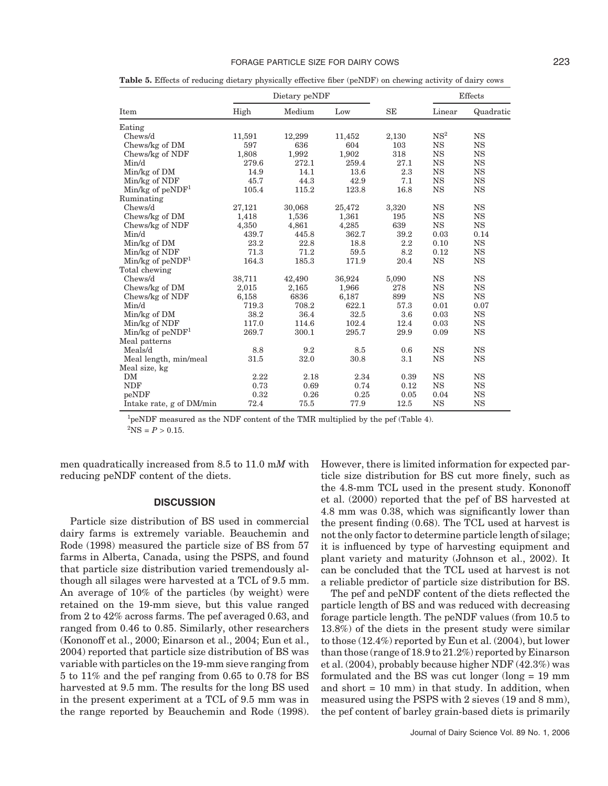## FORAGE PARTICLE SIZE FOR DAIRY COWS 223

|                                |        | Dietary peNDF |        |       | Effects         |           |  |
|--------------------------------|--------|---------------|--------|-------|-----------------|-----------|--|
| Item                           | High   | Medium        | Low    | SE    | Linear          | Quadratic |  |
| Eating                         |        |               |        |       |                 |           |  |
| Chews/d                        | 11,591 | 12,299        | 11,452 | 2,130 | NS <sup>2</sup> | <b>NS</b> |  |
| Chews/kg of DM                 | 597    | 636           | 604    | 103   | <b>NS</b>       | <b>NS</b> |  |
| Chews/kg of NDF                | 1,808  | 1,992         | 1,902  | 318   | <b>NS</b>       | <b>NS</b> |  |
| Min/d                          | 279.6  | 272.1         | 259.4  | 27.1  | <b>NS</b>       | <b>NS</b> |  |
| Min/kg of DM                   | 14.9   | 14.1          | 13.6   | 2.3   | <b>NS</b>       | <b>NS</b> |  |
| Min/kg of NDF                  | 45.7   | 44.3          | 42.9   | 7.1   | <b>NS</b>       | <b>NS</b> |  |
| $Min/kg$ of peNDF <sup>1</sup> | 105.4  | 115.2         | 123.8  | 16.8  | <b>NS</b>       | <b>NS</b> |  |
| Ruminating                     |        |               |        |       |                 |           |  |
| Chews/d                        | 27,121 | 30,068        | 25,472 | 3,320 | <b>NS</b>       | <b>NS</b> |  |
| Chews/kg of DM                 | 1,418  | 1,536         | 1,361  | 195   | $_{\rm NS}$     | <b>NS</b> |  |
| Chews/kg of NDF                | 4,350  | 4,861         | 4,285  | 639   | $_{\rm NS}$     | <b>NS</b> |  |
| Min/d                          | 439.7  | 445.8         | 362.7  | 39.2  | 0.03            | 0.14      |  |
| Min/kg of DM                   | 23.2   | 22.8          | 18.8   | 2.2   | 0.10            | <b>NS</b> |  |
| Min/kg of NDF                  | 71.3   | 71.2          | 59.5   | 8.2   | 0.12            | <b>NS</b> |  |
| $Min/kg$ of $penDF1$           | 164.3  | 185.3         | 171.9  | 20.4  | <b>NS</b>       | <b>NS</b> |  |
| Total chewing                  |        |               |        |       |                 |           |  |
| Chews/d                        | 38,711 | 42,490        | 36,924 | 5,090 | <b>NS</b>       | <b>NS</b> |  |
| Chews/kg of DM                 | 2,015  | 2,165         | 1,966  | 278   | <b>NS</b>       | NS        |  |
| Chews/kg of NDF                | 6,158  | 6836          | 6,187  | 899   | <b>NS</b>       | <b>NS</b> |  |
| Min/d                          | 719.3  | 708.2         | 622.1  | 57.3  | 0.01            | 0.07      |  |
| Min/kg of DM                   | 38.2   | 36.4          | 32.5   | 3.6   | 0.03            | <b>NS</b> |  |
| Min/kg of NDF                  | 117.0  | 114.6         | 102.4  | 12.4  | 0.03            | <b>NS</b> |  |
| $Min/kg$ of peNDF <sup>1</sup> | 269.7  | 300.1         | 295.7  | 29.9  | 0.09            | NS        |  |
| Meal patterns                  |        |               |        |       |                 |           |  |
| Meals/d                        | 8.8    | 9.2           | 8.5    | 0.6   | <b>NS</b>       | <b>NS</b> |  |
| Meal length, min/meal          | 31.5   | 32.0          | 30.8   | 3.1   | <b>NS</b>       | <b>NS</b> |  |
| Meal size, kg                  |        |               |        |       |                 |           |  |
| DM                             | 2.22   | 2.18          | 2.34   | 0.39  | <b>NS</b>       | <b>NS</b> |  |
| <b>NDF</b>                     | 0.73   | 0.69          | 0.74   | 0.12  | <b>NS</b>       | NS        |  |
| peNDF                          | 0.32   | 0.26          | 0.25   | 0.05  | 0.04            | <b>NS</b> |  |
| Intake rate, g of DM/min       | 72.4   | 75.5          | 77.9   | 12.5  | <b>NS</b>       | <b>NS</b> |  |

**Table 5.** Effects of reducing dietary physically effective fiber (peNDF) on chewing activity of dairy cows

1 peNDF measured as the NDF content of the TMR multiplied by the pef (Table 4).  $^{2}$ NS = *P* > 0.15.

men quadratically increased from 8.5 to 11.0 m*M* with reducing peNDF content of the diets.

#### **DISCUSSION**

Particle size distribution of BS used in commercial dairy farms is extremely variable. Beauchemin and Rode (1998) measured the particle size of BS from 57 farms in Alberta, Canada, using the PSPS, and found that particle size distribution varied tremendously although all silages were harvested at a TCL of 9.5 mm. An average of 10% of the particles (by weight) were retained on the 19-mm sieve, but this value ranged from 2 to 42% across farms. The pef averaged 0.63, and ranged from 0.46 to 0.85. Similarly, other researchers (Kononoff et al., 2000; Einarson et al., 2004; Eun et al., 2004) reported that particle size distribution of BS was variable with particles on the 19-mm sieve ranging from 5 to 11% and the pef ranging from 0.65 to 0.78 for BS harvested at 9.5 mm. The results for the long BS used in the present experiment at a TCL of 9.5 mm was in the range reported by Beauchemin and Rode (1998).

However, there is limited information for expected particle size distribution for BS cut more finely, such as the 4.8-mm TCL used in the present study. Kononoff et al. (2000) reported that the pef of BS harvested at 4.8 mm was 0.38, which was significantly lower than the present finding (0.68). The TCL used at harvest is not the only factor to determine particle length of silage; it is influenced by type of harvesting equipment and plant variety and maturity (Johnson et al., 2002). It can be concluded that the TCL used at harvest is not a reliable predictor of particle size distribution for BS.

The pef and peNDF content of the diets reflected the particle length of BS and was reduced with decreasing forage particle length. The peNDF values (from 10.5 to 13.8%) of the diets in the present study were similar to those (12.4%) reported by Eun et al. (2004), but lower than those (range of 18.9 to 21.2%) reported by Einarson et al. (2004), probably because higher NDF (42.3%) was formulated and the BS was cut longer (long = 19 mm and short  $= 10$  mm) in that study. In addition, when measured using the PSPS with 2 sieves (19 and 8 mm), the pef content of barley grain-based diets is primarily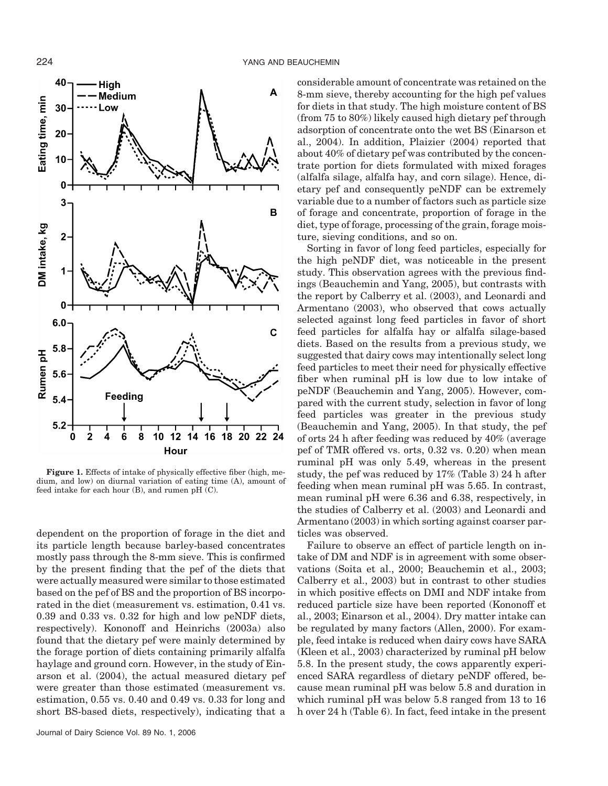

Figure 1. Effects of intake of physically effective fiber (high, medium, and low) on diurnal variation of eating time (A), amount of feed intake for each hour  $(B)$ , and rumen pH $(C)$ .

dependent on the proportion of forage in the diet and its particle length because barley-based concentrates mostly pass through the 8-mm sieve. This is confirmed by the present finding that the pef of the diets that were actually measured were similar to those estimated based on the pef of BS and the proportion of BS incorporated in the diet (measurement vs. estimation, 0.41 vs. 0.39 and 0.33 vs. 0.32 for high and low peNDF diets, respectively). Kononoff and Heinrichs (2003a) also found that the dietary pef were mainly determined by the forage portion of diets containing primarily alfalfa haylage and ground corn. However, in the study of Einarson et al. (2004), the actual measured dietary pef were greater than those estimated (measurement vs. estimation, 0.55 vs. 0.40 and 0.49 vs. 0.33 for long and short BS-based diets, respectively), indicating that a considerable amount of concentrate was retained on the 8-mm sieve, thereby accounting for the high pef values for diets in that study. The high moisture content of BS (from 75 to 80%) likely caused high dietary pef through adsorption of concentrate onto the wet BS (Einarson et al., 2004). In addition, Plaizier (2004) reported that about 40% of dietary pef was contributed by the concentrate portion for diets formulated with mixed forages (alfalfa silage, alfalfa hay, and corn silage). Hence, dietary pef and consequently peNDF can be extremely variable due to a number of factors such as particle size of forage and concentrate, proportion of forage in the diet, type of forage, processing of the grain, forage moisture, sieving conditions, and so on.

Sorting in favor of long feed particles, especially for the high peNDF diet, was noticeable in the present study. This observation agrees with the previous findings (Beauchemin and Yang, 2005), but contrasts with the report by Calberry et al. (2003), and Leonardi and Armentano (2003), who observed that cows actually selected against long feed particles in favor of short feed particles for alfalfa hay or alfalfa silage-based diets. Based on the results from a previous study, we suggested that dairy cows may intentionally select long feed particles to meet their need for physically effective fiber when ruminal pH is low due to low intake of peNDF (Beauchemin and Yang, 2005). However, compared with the current study, selection in favor of long feed particles was greater in the previous study (Beauchemin and Yang, 2005). In that study, the pef of orts 24 h after feeding was reduced by 40% (average pef of TMR offered vs. orts, 0.32 vs. 0.20) when mean ruminal pH was only 5.49, whereas in the present study, the pef was reduced by 17% (Table 3) 24 h after feeding when mean ruminal pH was 5.65. In contrast, mean ruminal pH were 6.36 and 6.38, respectively, in the studies of Calberry et al. (2003) and Leonardi and Armentano (2003) in which sorting against coarser particles was observed.

Failure to observe an effect of particle length on intake of DM and NDF is in agreement with some observations (Soita et al., 2000; Beauchemin et al., 2003; Calberry et al., 2003) but in contrast to other studies in which positive effects on DMI and NDF intake from reduced particle size have been reported (Kononoff et al., 2003; Einarson et al., 2004). Dry matter intake can be regulated by many factors (Allen, 2000). For example, feed intake is reduced when dairy cows have SARA (Kleen et al., 2003) characterized by ruminal pH below 5.8. In the present study, the cows apparently experienced SARA regardless of dietary peNDF offered, because mean ruminal pH was below 5.8 and duration in which ruminal pH was below 5.8 ranged from 13 to 16 h over 24 h (Table 6). In fact, feed intake in the present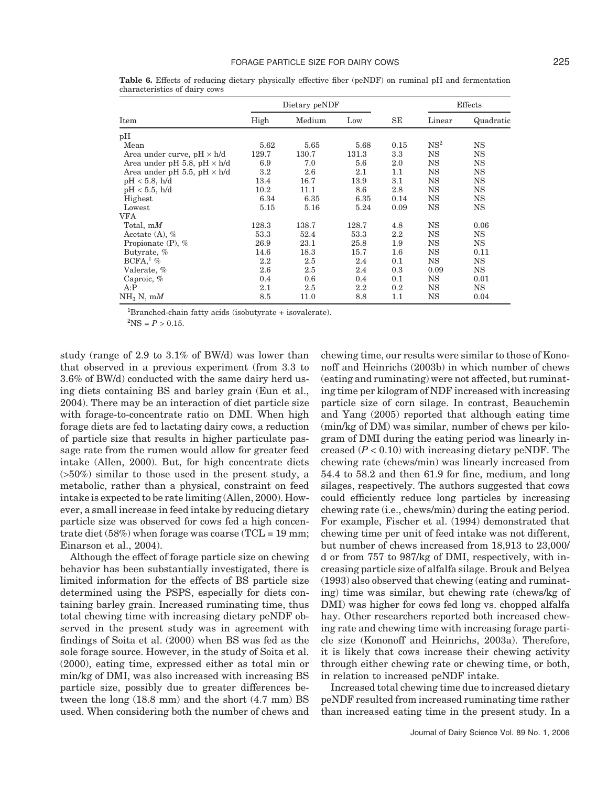|                                    |       | Dietary peNDF |         |         | Effects         |           |  |
|------------------------------------|-------|---------------|---------|---------|-----------------|-----------|--|
| Item                               | High  | Medium        | Low     | SE      | Linear          | Quadratic |  |
| pH                                 |       |               |         |         |                 |           |  |
| Mean                               | 5.62  | 5.65          | 5.68    | 0.15    | NS <sup>2</sup> | <b>NS</b> |  |
| Area under curve, $pH \times h/d$  | 129.7 | 130.7         | 131.3   | $3.3\,$ | $_{\rm NS}$     | <b>NS</b> |  |
| Area under pH 5.8, pH $\times$ h/d | 6.9   | 7.0           | 5.6     | 2.0     | $_{\rm NS}$     | <b>NS</b> |  |
| Area under pH 5.5, pH $\times$ h/d | 3.2   | 2.6           | 2.1     | 1.1     | $_{\rm NS}$     | <b>NS</b> |  |
| $pH < 5.8$ , h/d                   | 13.4  | 16.7          | 13.9    | 3.1     | $_{\rm NS}$     | <b>NS</b> |  |
| $pH < 5.5$ , h/d                   | 10.2  | 11.1          | 8.6     | 2.8     | NS              | <b>NS</b> |  |
| Highest                            | 6.34  | 6.35          | 6.35    | 0.14    | $_{\rm NS}$     | <b>NS</b> |  |
| Lowest                             | 5.15  | 5.16          | 5.24    | 0.09    | NS              | <b>NS</b> |  |
| VFA                                |       |               |         |         |                 |           |  |
| Total, $mM$                        | 128.3 | 138.7         | 128.7   | 4.8     | $_{\rm NS}$     | 0.06      |  |
| Acetate $(A)$ , %                  | 53.3  | 52.4          | 53.3    | $2.2\,$ | $_{\rm NS}$     | <b>NS</b> |  |
| Propionate $(P)$ , %               | 26.9  | 23.1          | 25.8    | 1.9     | NS              | <b>NS</b> |  |
| Butyrate, %                        | 14.6  | 18.3          | 15.7    | 1.6     | $_{\rm NS}$     | 0.11      |  |
| $BCFA1$ %                          | 2.2   | 2.5           | 2.4     | 0.1     | NS              | <b>NS</b> |  |
| Valerate, %                        | 2.6   | 2.5           | 2.4     | 0.3     | 0.09            | <b>NS</b> |  |
| Caproic, %                         | 0.4   | 0.6           | 0.4     | 0.1     | NS              | 0.01      |  |
| A: P                               | 2.1   | 2.5           | $2.2\,$ | 0.2     | $_{\rm NS}$     | NS        |  |
| $NH3$ N, m $M$                     | 8.5   | 11.0          | 8.8     | 1.1     | NS              | 0.04      |  |

**Table 6.** Effects of reducing dietary physically effective fiber (peNDF) on ruminal pH and fermentation characteristics of dairy cows

1 Branched-chain fatty acids (isobutyrate + isovalerate).

 $^{2}$ NS = *P* > 0.15.

study (range of 2.9 to 3.1% of BW/d) was lower than that observed in a previous experiment (from 3.3 to 3.6% of BW/d) conducted with the same dairy herd using diets containing BS and barley grain (Eun et al., 2004). There may be an interaction of diet particle size with forage-to-concentrate ratio on DMI. When high forage diets are fed to lactating dairy cows, a reduction of particle size that results in higher particulate passage rate from the rumen would allow for greater feed intake (Allen, 2000). But, for high concentrate diets (>50%) similar to those used in the present study, a metabolic, rather than a physical, constraint on feed intake is expected to be rate limiting (Allen, 2000). However, a small increase in feed intake by reducing dietary particle size was observed for cows fed a high concentrate diet  $(58%)$  when forage was coarse  $(TCL = 19$  mm; Einarson et al., 2004).

Although the effect of forage particle size on chewing behavior has been substantially investigated, there is limited information for the effects of BS particle size determined using the PSPS, especially for diets containing barley grain. Increased ruminating time, thus total chewing time with increasing dietary peNDF observed in the present study was in agreement with findings of Soita et al. (2000) when BS was fed as the sole forage source. However, in the study of Soita et al. (2000), eating time, expressed either as total min or min/kg of DMI, was also increased with increasing BS particle size, possibly due to greater differences between the long (18.8 mm) and the short (4.7 mm) BS used. When considering both the number of chews and chewing time, our results were similar to those of Kononoff and Heinrichs (2003b) in which number of chews (eating and ruminating) were not affected, but ruminating time per kilogram of NDF increased with increasing particle size of corn silage. In contrast, Beauchemin and Yang (2005) reported that although eating time (min/kg of DM) was similar, number of chews per kilogram of DMI during the eating period was linearly increased  $(P < 0.10)$  with increasing dietary peNDF. The chewing rate (chews/min) was linearly increased from 54.4 to 58.2 and then 61.9 for fine, medium, and long silages, respectively. The authors suggested that cows could efficiently reduce long particles by increasing chewing rate (i.e., chews/min) during the eating period. For example, Fischer et al. (1994) demonstrated that chewing time per unit of feed intake was not different, but number of chews increased from 18,913 to 23,000/ d or from 757 to 987/kg of DMI, respectively, with increasing particle size of alfalfa silage. Brouk and Belyea (1993) also observed that chewing (eating and ruminating) time was similar, but chewing rate (chews/kg of DMI) was higher for cows fed long vs. chopped alfalfa hay. Other researchers reported both increased chewing rate and chewing time with increasing forage particle size (Kononoff and Heinrichs, 2003a). Therefore, it is likely that cows increase their chewing activity through either chewing rate or chewing time, or both, in relation to increased peNDF intake.

Increased total chewing time due to increased dietary peNDF resulted from increased ruminating time rather than increased eating time in the present study. In a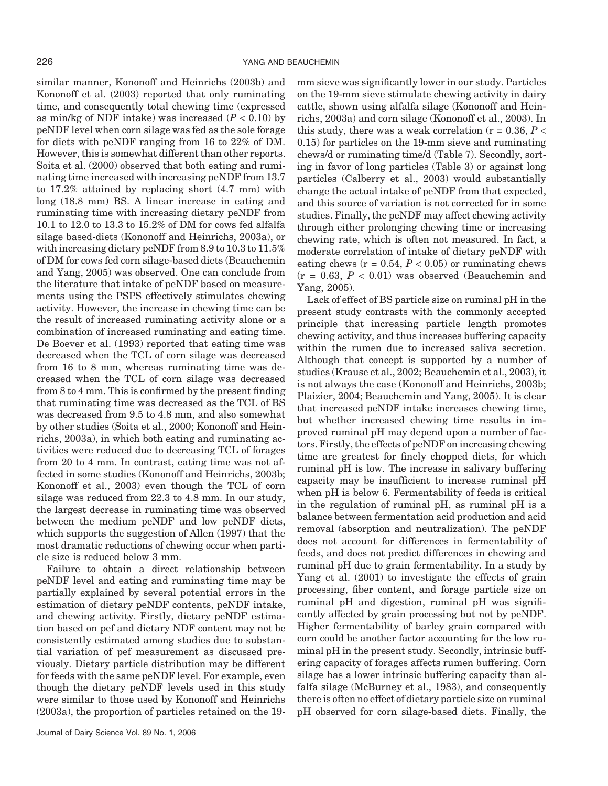similar manner, Kononoff and Heinrichs (2003b) and Kononoff et al. (2003) reported that only ruminating time, and consequently total chewing time (expressed as min/kg of NDF intake) was increased  $(P < 0.10)$  by peNDF level when corn silage was fed as the sole forage for diets with peNDF ranging from 16 to 22% of DM. However, this is somewhat different than other reports. Soita et al. (2000) observed that both eating and ruminating time increased with increasing peNDF from 13.7 to 17.2% attained by replacing short (4.7 mm) with long (18.8 mm) BS. A linear increase in eating and ruminating time with increasing dietary peNDF from 10.1 to 12.0 to 13.3 to 15.2% of DM for cows fed alfalfa silage based-diets (Kononoff and Heinrichs, 2003a), or with increasing dietary peNDF from 8.9 to 10.3 to 11.5% of DM for cows fed corn silage-based diets (Beauchemin and Yang, 2005) was observed. One can conclude from the literature that intake of peNDF based on measurements using the PSPS effectively stimulates chewing activity. However, the increase in chewing time can be the result of increased ruminating activity alone or a combination of increased ruminating and eating time. De Boever et al. (1993) reported that eating time was decreased when the TCL of corn silage was decreased from 16 to 8 mm, whereas ruminating time was decreased when the TCL of corn silage was decreased from 8 to 4 mm. This is confirmed by the present finding that ruminating time was decreased as the TCL of BS was decreased from 9.5 to 4.8 mm, and also somewhat by other studies (Soita et al., 2000; Kononoff and Heinrichs, 2003a), in which both eating and ruminating activities were reduced due to decreasing TCL of forages from 20 to 4 mm. In contrast, eating time was not affected in some studies (Kononoff and Heinrichs, 2003b; Kononoff et al., 2003) even though the TCL of corn silage was reduced from 22.3 to 4.8 mm. In our study, the largest decrease in ruminating time was observed between the medium peNDF and low peNDF diets, which supports the suggestion of Allen (1997) that the most dramatic reductions of chewing occur when particle size is reduced below 3 mm.

Failure to obtain a direct relationship between peNDF level and eating and ruminating time may be partially explained by several potential errors in the estimation of dietary peNDF contents, peNDF intake, and chewing activity. Firstly, dietary peNDF estimation based on pef and dietary NDF content may not be consistently estimated among studies due to substantial variation of pef measurement as discussed previously. Dietary particle distribution may be different for feeds with the same peNDF level. For example, even though the dietary peNDF levels used in this study were similar to those used by Kononoff and Heinrichs (2003a), the proportion of particles retained on the 19mm sieve was significantly lower in our study. Particles on the 19-mm sieve stimulate chewing activity in dairy cattle, shown using alfalfa silage (Kononoff and Heinrichs, 2003a) and corn silage (Kononoff et al., 2003). In this study, there was a weak correlation  $(r = 0.36, P <$ 0.15) for particles on the 19-mm sieve and ruminating chews/d or ruminating time/d (Table 7). Secondly, sorting in favor of long particles (Table 3) or against long particles (Calberry et al., 2003) would substantially change the actual intake of peNDF from that expected, and this source of variation is not corrected for in some studies. Finally, the peNDF may affect chewing activity through either prolonging chewing time or increasing chewing rate, which is often not measured. In fact, a moderate correlation of intake of dietary peNDF with eating chews  $(r = 0.54, P < 0.05)$  or ruminating chews  $(r = 0.63, P < 0.01)$  was observed (Beauchemin and Yang, 2005).

Lack of effect of BS particle size on ruminal pH in the present study contrasts with the commonly accepted principle that increasing particle length promotes chewing activity, and thus increases buffering capacity within the rumen due to increased saliva secretion. Although that concept is supported by a number of studies (Krause et al., 2002; Beauchemin et al., 2003), it is not always the case (Kononoff and Heinrichs, 2003b; Plaizier, 2004; Beauchemin and Yang, 2005). It is clear that increased peNDF intake increases chewing time, but whether increased chewing time results in improved ruminal pH may depend upon a number of factors. Firstly, the effects of peNDF on increasing chewing time are greatest for finely chopped diets, for which ruminal pH is low. The increase in salivary buffering capacity may be insufficient to increase ruminal pH when pH is below 6. Fermentability of feeds is critical in the regulation of ruminal pH, as ruminal pH is a balance between fermentation acid production and acid removal (absorption and neutralization). The peNDF does not account for differences in fermentability of feeds, and does not predict differences in chewing and ruminal pH due to grain fermentability. In a study by Yang et al. (2001) to investigate the effects of grain processing, fiber content, and forage particle size on ruminal pH and digestion, ruminal pH was significantly affected by grain processing but not by peNDF. Higher fermentability of barley grain compared with corn could be another factor accounting for the low ruminal pH in the present study. Secondly, intrinsic buffering capacity of forages affects rumen buffering. Corn silage has a lower intrinsic buffering capacity than alfalfa silage (McBurney et al., 1983), and consequently there is often no effect of dietary particle size on ruminal pH observed for corn silage-based diets. Finally, the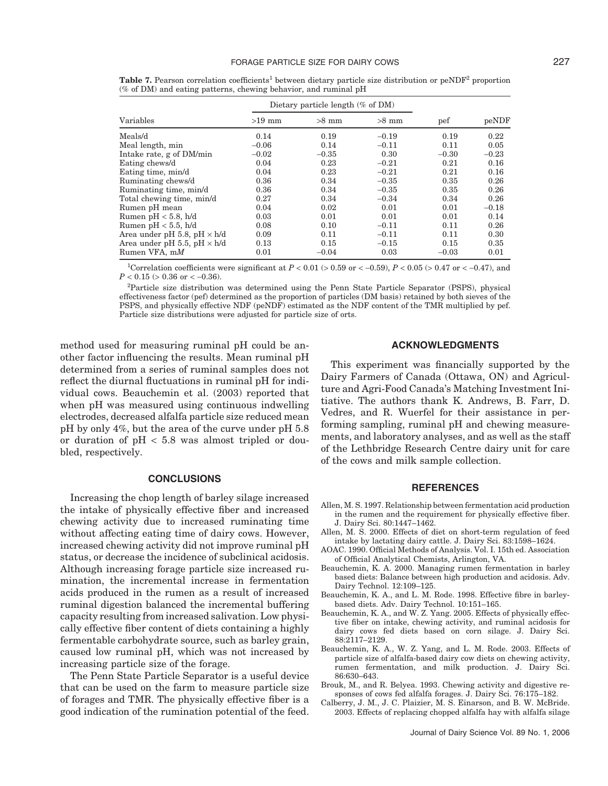|                                    | Dietary particle length $(\%$ of DM) |         |         |         |         |
|------------------------------------|--------------------------------------|---------|---------|---------|---------|
| Variables                          | $>19$ mm                             | $>8$ mm | $>8$ mm | pef     | peNDF   |
| Meals/d                            | 0.14                                 | 0.19    | $-0.19$ | 0.19    | 0.22    |
| Meal length, min                   | $-0.06$                              | 0.14    | $-0.11$ | 0.11    | 0.05    |
| Intake rate, g of DM/min           | $-0.02$                              | $-0.35$ | 0.30    | $-0.30$ | $-0.23$ |
| Eating chews/d                     | 0.04                                 | 0.23    | $-0.21$ | 0.21    | 0.16    |
| Eating time, min/d                 | 0.04                                 | 0.23    | $-0.21$ | 0.21    | 0.16    |
| Ruminating chews/d                 | 0.36                                 | 0.34    | $-0.35$ | 0.35    | 0.26    |
| Ruminating time, min/d             | 0.36                                 | 0.34    | $-0.35$ | 0.35    | 0.26    |
| Total chewing time, min/d          | 0.27                                 | 0.34    | $-0.34$ | 0.34    | 0.26    |
| Rumen pH mean                      | 0.04                                 | 0.02    | 0.01    | 0.01    | $-0.18$ |
| Rumen $pH < 5.8$ , h/d             | 0.03                                 | 0.01    | 0.01    | 0.01    | 0.14    |
| Rumen $pH < 5.5$ , h/d             | 0.08                                 | 0.10    | $-0.11$ | 0.11    | 0.26    |
| Area under pH 5.8, pH $\times$ h/d | 0.09                                 | 0.11    | $-0.11$ | 0.11    | 0.30    |
| Area under pH 5.5, pH $\times$ h/d | 0.13                                 | 0.15    | $-0.15$ | 0.15    | 0.35    |
| Rumen VFA, mM                      | 0.01                                 | $-0.04$ | 0.03    | $-0.03$ | 0.01    |

**Table 7.** Pearson correlation coefficients<sup>1</sup> between dietary particle size distribution or peNDF<sup>2</sup> proportion (% of DM) and eating patterns, chewing behavior, and ruminal pH

1 Correlation coefficients were significant at *P* < 0.01 (> 0.59 or < −0.59), *P* < 0.05 (> 0.47 or < −0.47), and *P* < 0.15 (> 0.36 or < −0.36).

<sup>2</sup>Particle size distribution was determined using the Penn State Particle Separator (PSPS), physical effectiveness factor (pef) determined as the proportion of particles (DM basis) retained by both sieves of the PSPS, and physically effective NDF (peNDF) estimated as the NDF content of the TMR multiplied by pef. Particle size distributions were adjusted for particle size of orts.

method used for measuring ruminal pH could be another factor influencing the results. Mean ruminal pH determined from a series of ruminal samples does not reflect the diurnal fluctuations in ruminal pH for individual cows. Beauchemin et al. (2003) reported that when pH was measured using continuous indwelling electrodes, decreased alfalfa particle size reduced mean pH by only 4%, but the area of the curve under pH 5.8 or duration of  $pH < 5.8$  was almost tripled or doubled, respectively.

#### **CONCLUSIONS**

Increasing the chop length of barley silage increased the intake of physically effective fiber and increased chewing activity due to increased ruminating time without affecting eating time of dairy cows. However, increased chewing activity did not improve ruminal pH status, or decrease the incidence of subclinical acidosis. Although increasing forage particle size increased rumination, the incremental increase in fermentation acids produced in the rumen as a result of increased ruminal digestion balanced the incremental buffering capacity resulting from increased salivation. Low physically effective fiber content of diets containing a highly fermentable carbohydrate source, such as barley grain, caused low ruminal pH, which was not increased by increasing particle size of the forage.

The Penn State Particle Separator is a useful device that can be used on the farm to measure particle size of forages and TMR. The physically effective fiber is a good indication of the rumination potential of the feed.

#### **ACKNOWLEDGMENTS**

This experiment was financially supported by the Dairy Farmers of Canada (Ottawa, ON) and Agriculture and Agri-Food Canada's Matching Investment Initiative. The authors thank K. Andrews, B. Farr, D. Vedres, and R. Wuerfel for their assistance in performing sampling, ruminal pH and chewing measurements, and laboratory analyses, and as well as the staff of the Lethbridge Research Centre dairy unit for care of the cows and milk sample collection.

#### **REFERENCES**

- Allen, M. S. 1997. Relationship between fermentation acid production in the rumen and the requirement for physically effective fiber. J. Dairy Sci. 80:1447–1462.
- Allen, M. S. 2000. Effects of diet on short-term regulation of feed intake by lactating dairy cattle. J. Dairy Sci. 83:1598–1624.
- AOAC. 1990. Official Methods of Analysis. Vol. I. 15th ed. Association of Official Analytical Chemists, Arlington, VA.
- Beauchemin, K. A. 2000. Managing rumen fermentation in barley based diets: Balance between high production and acidosis. Adv. Dairy Technol. 12:109–125.
- Beauchemin, K. A., and L. M. Rode. 1998. Effective fibre in barleybased diets. Adv. Dairy Technol. 10:151–165.
- Beauchemin, K. A., and W. Z. Yang. 2005. Effects of physically effective fiber on intake, chewing activity, and ruminal acidosis for dairy cows fed diets based on corn silage. J. Dairy Sci. 88:2117–2129.
- Beauchemin, K. A., W. Z. Yang, and L. M. Rode. 2003. Effects of particle size of alfalfa-based dairy cow diets on chewing activity, rumen fermentation, and milk production. J. Dairy Sci. 86:630–643.
- Brouk, M., and R. Belyea. 1993. Chewing activity and digestive responses of cows fed alfalfa forages. J. Dairy Sci. 76:175–182.
- Calberry, J. M., J. C. Plaizier, M. S. Einarson, and B. W. McBride. 2003. Effects of replacing chopped alfalfa hay with alfalfa silage